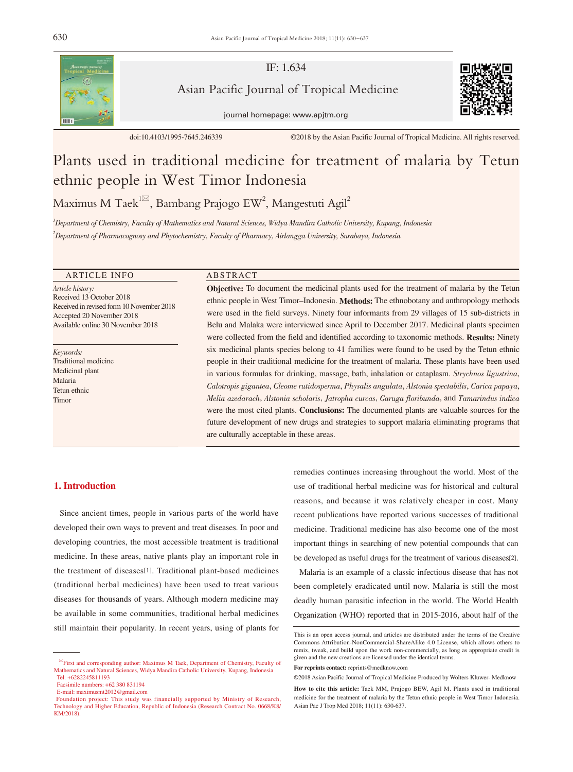

IF: 1.634

Asian Pacific Journal of Tropical Medicine



journal homepage: www.apjtm.org

doi:10.4103/1995-7645.246339 ©2018 by the Asian Pacific Journal of Tropical Medicine. All rights reserved.

# Plants used in traditional medicine for treatment of malaria by Tetun ethnic people in West Timor Indonesia

Maximus M Taek<sup>1⊠</sup>, Bambang Prajogo EW<sup>2</sup>, Mangestuti Agil<sup>2</sup>

1 Department of Chemistry, Faculty of Mathematics and Natural Sciences, Widya Mandira Catholic University, Kupang, Indonesia 2 Department of Pharmacognosy and Phytochemistry, Faculty of Pharmacy, Airlangga University, Surabaya, Indonesia

# ARTICLE INFO ABSTRACT

Article history: Received 13 October 2018 Received in revised form 10 November 2018 Accepted 20 November 2018 Available online 30 November 2018

Keywords: Traditional medicine Medicinal plant Malaria Tetun ethnic Timor

Objective: To document the medicinal plants used for the treatment of malaria by the Tetun ethnic people in West Timor–Indonesia. Methods: The ethnobotany and anthropology methods were used in the field surveys. Ninety four informants from 29 villages of 15 sub-districts in Belu and Malaka were interviewed since April to December 2017. Medicinal plants specimen were collected from the field and identified according to taxonomic methods. **Results:** Ninety six medicinal plants species belong to 41 families were found to be used by the Tetun ethnic people in their traditional medicine for the treatment of malaria. These plants have been used in various formulas for drinking, massage, bath, inhalation or cataplasm. Strychnos ligustrina, Calotropis gigantea, Cleome rutidosperma, Physalis angulata, Alstonia spectabilis, Carica papaya, Melia azedarach, Alstonia scholaris, Jatropha curcas, Garuga floribunda, and Tamarindus indica were the most cited plants. Conclusions: The documented plants are valuable sources for the future development of new drugs and strategies to support malaria eliminating programs that are culturally acceptable in these areas.

#### 1. Introduction

 Since ancient times, people in various parts of the world have developed their own ways to prevent and treat diseases. In poor and developing countries, the most accessible treatment is traditional medicine. In these areas, native plants play an important role in the treatment of diseases[1]. Traditional plant-based medicines (traditional herbal medicines) have been used to treat various diseases for thousands of years. Although modern medicine may be available in some communities, traditional herbal medicines still maintain their popularity. In recent years, using of plants for

remedies continues increasing throughout the world. Most of the use of traditional herbal medicine was for historical and cultural reasons, and because it was relatively cheaper in cost. Many recent publications have reported various successes of traditional medicine. Traditional medicine has also become one of the most important things in searching of new potential compounds that can be developed as useful drugs for the treatment of various diseases[2].

 Malaria is an example of a classic infectious disease that has not been completely eradicated until now. Malaria is still the most deadly human parasitic infection in the world. The World Health Organization (WHO) reported that in 2015-2016, about half of the

First and corresponding author: Maximus M Taek, Department of Chemistry, Faculty of Mathematics and Natural Sciences, Widya Mandira Catholic University, Kupang, Indonesia Tel: +6282245811193

Facsimile numbers: +62 380 831194

E-mail: maximusmt2012@gmail.com

Foundation project: This study was financially supported by Ministry of Research, Technology and Higher Education, Republic of Indonesia (Research Contract No. 0668/K8/ KM/2018).

This is an open access journal, and articles are distributed under the terms of the Creative Commons Attribution-NonCommercial-ShareAlike 4.0 License, which allows others to remix, tweak, and build upon the work non-commercially, as long as appropriate credit is given and the new creations are licensed under the identical terms.

**For reprints contact:** reprints@medknow.com

<sup>©2018</sup> Asian Pacific Journal of Tropical Medicine Produced by Wolters Kluwer- Medknow

**How to cite this article:** Taek MM, Prajogo BEW, Agil M. Plants used in traditional medicine for the treatment of malaria by the Tetun ethnic people in West Timor Indonesia. Asian Pac J Trop Med 2018; 11(11): 630-637.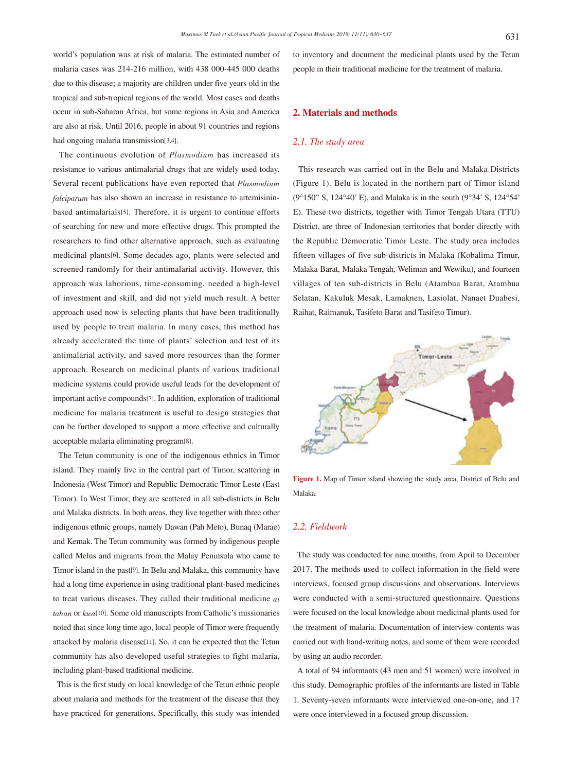world's population was at risk of malaria. The estimated number of malaria cases was 214-216 million, with 438 000-445 000 deaths due to this disease; a majority are children under five years old in the tropical and sub-tropical regions of the world. Most cases and deaths occur in sub-Saharan Africa, but some regions in Asia and America are also at risk. Until 2016, people in about 91 countries and regions had ongoing malaria transmission[3,4].

 The continuous evolution of Plasmodium has increased its resistance to various antimalarial drugs that are widely used today. Several recent publications have even reported that Plasmodium falciparum has also shown an increase in resistance to artemisininbased antimalarials[5]. Therefore, it is urgent to continue efforts of searching for new and more effective drugs. This prompted the researchers to find other alternative approach, such as evaluating medicinal plants[6]. Some decades ago, plants were selected and screened randomly for their antimalarial activity. However, this approach was laborious, time-consuming, needed a high-level of investment and skill, and did not yield much result. A better approach used now is selecting plants that have been traditionally used by people to treat malaria. In many cases, this method has already accelerated the time of plants' selection and test of its antimalarial activity, and saved more resources than the former approach. Research on medicinal plants of various traditional medicine systems could provide useful leads for the development of important active compounds[7]. In addition, exploration of traditional medicine for malaria treatment is useful to design strategies that can be further developed to support a more effective and culturally acceptable malaria eliminating program[8].

 The Tetun community is one of the indigenous ethnics in Timor island. They mainly live in the central part of Timor, scattering in Indonesia (West Timor) and Republic Democratic Timor Leste (East Timor). In West Timor, they are scattered in all sub-districts in Belu and Malaka districts. In both areas, they live together with three other indigenous ethnic groups, namely Dawan (Pah Meto), Bunaq (Marae) and Kemak. The Tetun community was formed by indigenous people called Melus and migrants from the Malay Peninsula who came to Timor island in the past[9]. In Belu and Malaka, this community have had a long time experience in using traditional plant-based medicines to treat various diseases. They called their traditional medicine  $ai$ tahan or kwa[10]. Some old manuscripts from Catholic's missionaries noted that since long time ago, local people of Timor were frequently attacked by malaria disease[11]. So, it can be expected that the Tetun community has also developed useful strategies to fight malaria, including plant-based traditional medicine.

 This is the first study on local knowledge of the Tetun ethnic people about malaria and methods for the treatment of the disease that they have practiced for generations. Specifically, this study was intended to inventory and document the medicinal plants used by the Tetun people in their traditional medicine for the treatment of malaria.

# 2. Materials and methods

#### 2.1. The study area

 This research was carried out in the Belu and Malaka Districts (Figure 1). Belu is located in the northern part of Timor island (9°150" S, 124°40' E), and Malaka is in the south (9°34' S, 124°54' E). These two districts, together with Timor Tengah Utara (TTU) District, are three of Indonesian territories that border directly with the Republic Democratic Timor Leste. The study area includes fifteen villages of five sub-districts in Malaka (Kobalima Timur, Malaka Barat, Malaka Tengah, Weliman and Wewiku), and fourteen villages of ten sub-districts in Belu (Atambua Barat, Atambua Selatan, Kakuluk Mesak, Lamaknen, Lasiolat, Nanaet Duabesi, Raihat, Raimanuk, Tasifeto Barat and Tasifeto Timur).



**Figure 1.** Map of Timor island showing the study area, District of Belu and Malaka.

#### 2.2. Fieldwork

 The study was conducted for nine months, from April to December 2017. The methods used to collect information in the field were interviews, focused group discussions and observations. Interviews were conducted with a semi-structured questionnaire. Questions were focused on the local knowledge about medicinal plants used for the treatment of malaria. Documentation of interview contents was carried out with hand-writing notes, and some of them were recorded by using an audio recorder.

 A total of 94 informants (43 men and 51 women) were involved in this study. Demographic profiles of the informants are listed in Table 1. Seventy-seven informants were interviewed one-on-one, and 17 were once interviewed in a focused group discussion.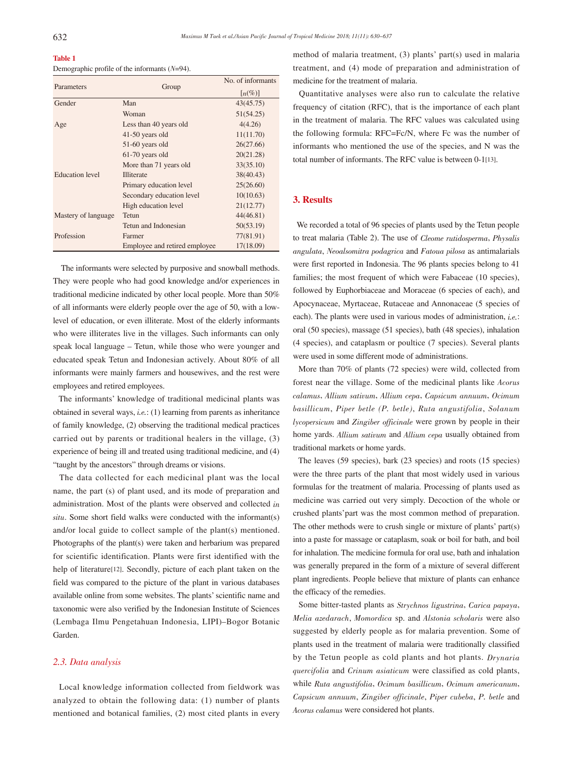| <b>Table 1</b>                                   |  |
|--------------------------------------------------|--|
| Demographic profile of the informants $(N=94)$ . |  |

| Parameters             |                               | No. of informants                   |  |
|------------------------|-------------------------------|-------------------------------------|--|
|                        | Group                         | $\lceil n \left( \% \right) \rceil$ |  |
| Gender                 | Man                           | 43(45.75)                           |  |
|                        | Woman                         | 51(54.25)                           |  |
| Age                    | Less than 40 years old        | 4(4.26)                             |  |
|                        | 41-50 years old               | 11(11.70)                           |  |
|                        | 51-60 years old               | 26(27.66)                           |  |
|                        | 61-70 years old               | 20(21.28)                           |  |
| <b>Education</b> level | More than 71 years old        | 33(35.10)                           |  |
|                        | <b>Illiterate</b>             | 38(40.43)                           |  |
|                        | Primary education level       | 25(26.60)                           |  |
|                        | Secondary education level     | 10(10.63)                           |  |
|                        | High education level          | 21(12.77)                           |  |
| Mastery of language    | Tetun                         | 44(46.81)                           |  |
|                        | Tetun and Indonesian          | 50(53.19)                           |  |
| Profession             | Farmer                        | 77(81.91)                           |  |
|                        | Employee and retired employee | 17(18.09)                           |  |

 The informants were selected by purposive and snowball methods. They were people who had good knowledge and/or experiences in traditional medicine indicated by other local people. More than 50% of all informants were elderly people over the age of 50, with a lowlevel of education, or even illiterate. Most of the elderly informants who were illiterates live in the villages. Such informants can only speak local language – Tetun, while those who were younger and educated speak Tetun and Indonesian actively. About 80% of all informants were mainly farmers and housewives, and the rest were employees and retired employees.

 The informants' knowledge of traditional medicinal plants was obtained in several ways, i.e.: (1) learning from parents as inheritance of family knowledge, (2) observing the traditional medical practices carried out by parents or traditional healers in the village, (3) experience of being ill and treated using traditional medicine, and (4) "taught by the ancestors" through dreams or visions.

 The data collected for each medicinal plant was the local name, the part (s) of plant used, and its mode of preparation and administration. Most of the plants were observed and collected in situ. Some short field walks were conducted with the informant(s) and/or local guide to collect sample of the plant(s) mentioned. Photographs of the plant(s) were taken and herbarium was prepared for scientific identification. Plants were first identified with the help of literature[12]. Secondly, picture of each plant taken on the field was compared to the picture of the plant in various databases available online from some websites. The plants' scientific name and taxonomic were also verified by the Indonesian Institute of Sciences (Lembaga Ilmu Pengetahuan Indonesia, LIPI)–Bogor Botanic Garden.

# 2.3. Data analysis

 Local knowledge information collected from fieldwork was analyzed to obtain the following data: (1) number of plants mentioned and botanical families, (2) most cited plants in every method of malaria treatment, (3) plants' part(s) used in malaria treatment, and (4) mode of preparation and administration of medicine for the treatment of malaria.

 Quantitative analyses were also run to calculate the relative frequency of citation (RFC), that is the importance of each plant in the treatment of malaria. The RFC values was calculated using the following formula: RFC=Fc/N, where Fc was the number of informants who mentioned the use of the species, and N was the total number of informants. The RFC value is between 0-1[13].

# 3. Results

 We recorded a total of 96 species of plants used by the Tetun people to treat malaria (Table 2). The use of Cleome rutidosperma, Physalis angulata, Neoalsomitra podagrica and Fatoua pilosa as antimalarials were first reported in Indonesia. The 96 plants species belong to 41 families; the most frequent of which were Fabaceae (10 species), followed by Euphorbiaceae and Moraceae (6 species of each), and Apocynaceae, Myrtaceae, Rutaceae and Annonaceae (5 species of each). The plants were used in various modes of administration,  $i.e.$ : oral (50 species), massage (51 species), bath (48 species), inhalation (4 species), and cataplasm or poultice (7 species). Several plants were used in some different mode of administrations.

 More than 70% of plants (72 species) were wild, collected from forest near the village. Some of the medicinal plants like Acorus calamus, Allium sativum, Allium cepa, Capsicum annuum, Ocimum basillicum, Piper betle (P. betle), Ruta angustifolia, Solanum lycopersicum and Zingiber officinale were grown by people in their home yards. Allium sativum and Allium cepa usually obtained from traditional markets or home yards.

 The leaves (59 species), bark (23 species) and roots (15 species) were the three parts of the plant that most widely used in various formulas for the treatment of malaria. Processing of plants used as medicine was carried out very simply. Decoction of the whole or crushed plants'part was the most common method of preparation. The other methods were to crush single or mixture of plants' part(s) into a paste for massage or cataplasm, soak or boil for bath, and boil for inhalation. The medicine formula for oral use, bath and inhalation was generally prepared in the form of a mixture of several different plant ingredients. People believe that mixture of plants can enhance the efficacy of the remedies.

 Some bitter-tasted plants as Strychnos ligustrina, Carica papaya, Melia azedarach, Momordica sp. and Alstonia scholaris were also suggested by elderly people as for malaria prevention. Some of plants used in the treatment of malaria were traditionally classified by the Tetun people as cold plants and hot plants. Drynaria quercifolia and Crinum asiaticum were classified as cold plants, while Ruta angustifolia, Ocimum basillicum, Ocimum americanum, Capsicum annuum, Zingiber officinale, Piper cubeba, P. betle and Acorus calamus were considered hot plants.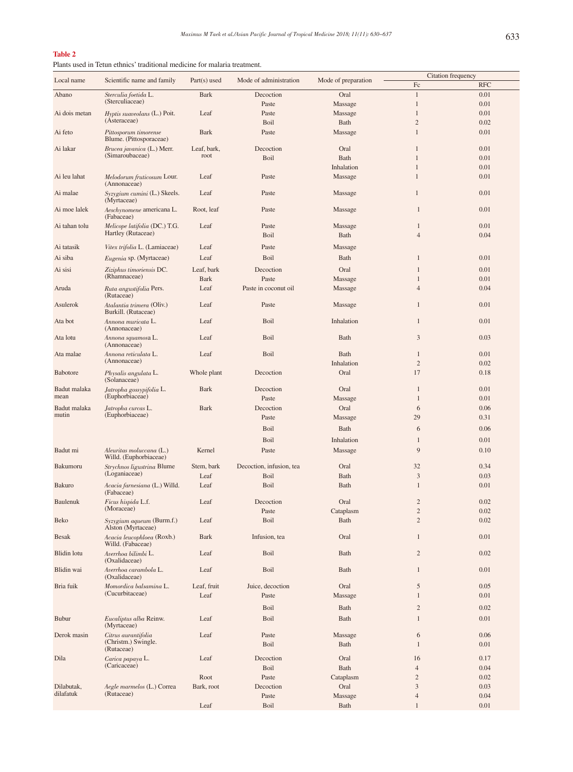# **Table 2**

Plants used in Tetun ethnics' traditional medicine for malaria treatment.

|                    |                                                     |                |                          |                     | Citation frequency  |              |
|--------------------|-----------------------------------------------------|----------------|--------------------------|---------------------|---------------------|--------------|
| Local name         | Scientific name and family                          | $Part(s)$ used | Mode of administration   | Mode of preparation | Fc                  | <b>RFC</b>   |
| Abano              | Sterculia foetida L.                                | <b>Bark</b>    | Decoction                | Oral                | $\mathbf{1}$        | 0.01         |
|                    | (Sterculiaceae)                                     |                | Paste                    | Massage             | $\mathbf{1}$        | 0.01         |
|                    |                                                     |                |                          |                     |                     |              |
| Ai dois metan      | Hyptis suaveolans (L.) Poit.<br>(Asteraceae)        | Leaf           | Paste                    | Massage             | $\mathbf{1}$        | 0.01         |
|                    |                                                     |                | Boil                     | Bath                | $\overline{c}$      | 0.02         |
| Ai feto            | Pittosporum timorense<br>Blume. (Pittosporaceae)    | Bark           | Paste                    | Massage             | $\mathbf{1}$        | 0.01         |
| Ai lakar           | <i>Brucea javanica</i> (L.) Merr.                   | Leaf, bark,    | Decoction                | Oral                | $\mathbf{1}$        | 0.01         |
|                    | (Simaroubaceae)                                     | root           | Boil                     | Bath                | $\mathbf{1}$        | 0.01         |
|                    |                                                     |                |                          | Inhalation          | $\mathbf{1}$        | 0.01         |
| Ai leu lahat       | Melodorum fruticosum Lour.                          | Leaf           | Paste                    | Massage             | $\mathbf{1}$        | 0.01         |
| Ai malae           | (Annonaceae)<br>Syzygium cumini (L.) Skeels.        | Leaf           | Paste                    | Massage             | $\mathbf{1}$        | 0.01         |
| Ai moe lalek       | (Myrtaceae)<br>Aeschynomene americana L.            | Root, leaf     | Paste                    | Massage             | $\mathbf{1}$        | 0.01         |
|                    | (Fabaceae)                                          |                |                          |                     |                     |              |
| Ai tahan tolu      | Melicope latifolia (DC.) T.G.<br>Hartley (Rutaceae) | Leaf           | Paste<br>Boil            | Massage<br>Bath     | 1<br>$\overline{4}$ | 0.01<br>0.04 |
|                    |                                                     |                |                          |                     |                     |              |
| Ai tatasik         | Vitex trifolia L. (Lamiaceae)                       | Leaf           | Paste                    | Massage             |                     |              |
| Ai siba            | <i>Eugenia</i> sp. (Myrtaceae)                      | Leaf           | Boil                     | Bath                | $\mathbf{1}$        | 0.01         |
| Ai sisi            | Ziziphus timoriensis DC.                            | Leaf, bark     | Decoction                | Oral                | 1                   | 0.01         |
|                    | (Rhamnaceae)                                        | <b>Bark</b>    | Paste                    |                     | $\mathbf{1}$        | 0.01         |
|                    |                                                     |                |                          | Massage             |                     |              |
| Aruda              | Ruta angustifolia Pers.<br>(Rutaceae)               | Leaf           | Paste in coconut oil     | Massage             | $\overline{4}$      | 0.04         |
| Asulerok           | Atalantia trimera (Oliv.)<br>Burkill. (Rutaceae)    | Leaf           | Paste                    | Massage             | 1                   | 0.01         |
| Ata bot            | Annona muricata L.<br>(Annonaceae)                  | Leaf           | Boil                     | Inhalation          | $\mathbf{1}$        | 0.01         |
| Ata lotu           | Annona squamosa L.<br>(Annonaceae)                  | Leaf           | Boil                     | Bath                | 3                   | 0.03         |
| Ata malae          | Annona reticulata L.<br>(Annonaceae)                | Leaf           | Boil                     | Bath                | 1                   | 0.01         |
|                    |                                                     |                |                          | Inhalation          | $\overline{2}$      | 0.02         |
| <b>Babotore</b>    | Physalis angulata L.<br>(Solanaceae)                | Whole plant    | Decoction                | Oral                | 17                  | 0.18         |
| Badut malaka       | Jatropha gossypifolia L.                            | <b>Bark</b>    | Decoction                | Oral                | $\mathbf{1}$        | 0.01         |
| mean               | (Euphorbiaceae)                                     |                | Paste                    | Massage             | 1                   | 0.01         |
| Badut malaka       | Jatropha curcas L.                                  | Bark           | Decoction                | Oral                | 6                   | 0.06         |
| mutin              | (Euphorbiaceae)                                     |                | Paste                    |                     | 29                  | 0.31         |
|                    |                                                     |                |                          | Massage             |                     |              |
|                    |                                                     |                | Boil                     | Bath                | 6                   | 0.06         |
|                    |                                                     |                | Boil                     | Inhalation          | $\mathbf{1}$        | 0.01         |
| Badut mi           |                                                     | Kernel         | Paste                    |                     | 9                   | 0.10         |
|                    | Aleuritas moluccana (L.)<br>Willd. (Euphorbiaceae)  |                |                          | Massage             |                     |              |
| Bakumoru           | Strychnos ligustrina Blume                          | Stem, bark     | Decoction, infusion, tea | Oral                | 32                  | 0.34         |
|                    | (Loganiaceae)                                       | Leaf           | Boil                     | Bath                | $\mathfrak{Z}$      | 0.03         |
| <b>Bakuro</b>      | Acacia farnesiana (L.) Willd.<br>(Fabaceae)         | Leaf           | Boil                     | Bath                | $\mathbf{1}$        | 0.01         |
| <b>Baulenuk</b>    | <i>Ficus hispida</i> L.f.                           | Leaf           | Decoction                | Oral                | $\overline{2}$      | 0.02         |
|                    | (Moraceae)                                          |                | Paste                    |                     | $\overline{c}$      | 0.02         |
|                    |                                                     |                |                          | Cataplasm           |                     |              |
| Beko               | Syzygium aqueum (Burm.f.)<br>Alston (Myrtaceae)     | Leaf           | Boil                     | Bath                | $\overline{c}$      | 0.02         |
| <b>Besak</b>       | Acacia leucophloea (Roxb.)<br>Willd. (Fabaceae)     | Bark           | Infusion, tea            | Oral                | $\mathbf{1}$        | 0.01         |
| <b>Blidin</b> lotu | Averrhoa bilimbi L.<br>(Oxalidaceae)                | Leaf           | Boil                     | Bath                | $\overline{2}$      | 0.02         |
| Blidin wai         | Averrhoa carambola L.<br>(Oxalidaceae)              | Leaf           | Boil                     | Bath                | $\mathbf{1}$        | 0.01         |
| Bria fuik          | Momordica balsamina L.                              | Leaf, fruit    | Juice, decoction         | Oral                | 5                   | 0.05         |
|                    | (Cucurbitaceae)                                     | Leaf           | Paste                    | Massage             | $\mathbf{1}$        | 0.01         |
|                    |                                                     |                |                          |                     |                     |              |
|                    |                                                     |                | Boil                     | Bath                | $\overline{2}$      | 0.02         |
| <b>Bubur</b>       | Eucaliptus alba Reinw.<br>(Myrtaceae)               | Leaf           | Boil                     | Bath                | $\mathbf{1}$        | 0.01         |
| Derok masin        |                                                     | Leaf           | Paste                    |                     | 6                   | 0.06         |
|                    | Citrus aurantifolia<br>(Christm.) Swingle.          |                | Boil                     | Massage<br>Bath     | $\mathbf{1}$        | 0.01         |
|                    | (Rutaceae)                                          |                |                          |                     |                     |              |
| Dila               | Carica papaya L.                                    | Leaf           | Decoction                | Oral                | 16                  | 0.17         |
|                    | (Caricaceae)                                        |                | Boil                     | Bath                | $\overline{4}$      | 0.04         |
|                    |                                                     | Root           | Paste                    | Cataplasm           | $\overline{c}$      | 0.02         |
| Dilabutak,         | Aegle marmelos (L.) Correa                          | Bark, root     | Decoction                | Oral                | 3                   | 0.03         |
| dilafatuk          | (Rutaceae)                                          |                | Paste                    | Massage             | $\overline{4}$      | 0.04         |
|                    |                                                     | Leaf           | Boil                     | Bath                | $\mathbf{1}$        | 0.01         |
|                    |                                                     |                |                          |                     |                     |              |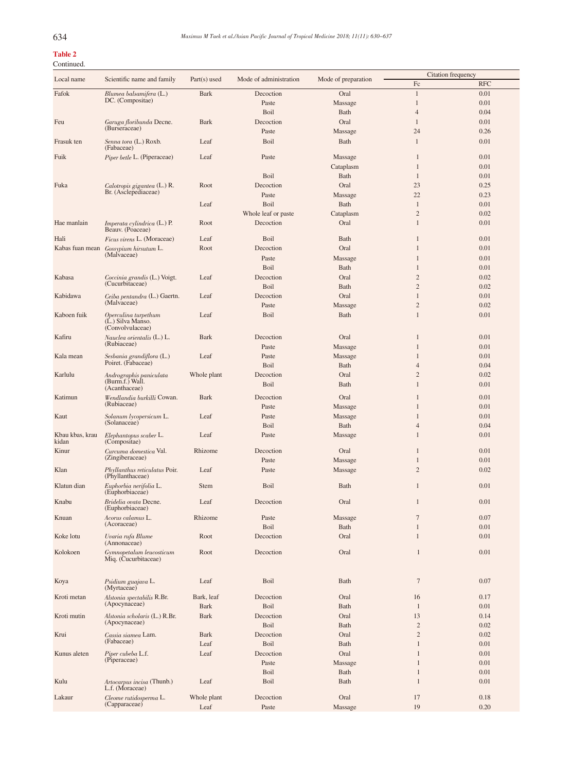# Table 2 Continued.

|                          |                                                        |                |                        |                     | Citation frequency |            |
|--------------------------|--------------------------------------------------------|----------------|------------------------|---------------------|--------------------|------------|
| Local name               | Scientific name and family                             | $Part(s)$ used | Mode of administration | Mode of preparation | Fc                 | <b>RFC</b> |
| Fafok                    | Blumea balsamifera (L.)                                | <b>Bark</b>    | Decoction              | Oral                | $\mathbf{1}$       | 0.01       |
|                          | DC. (Compositae)                                       |                | Paste                  | Massage             | $\mathbf{1}$       | 0.01       |
|                          |                                                        |                | Boil                   | Bath                | $\overline{4}$     | 0.04       |
| Feu                      | Garuga floribunda Decne.                               | Bark           | Decoction              | Oral                | $\mathbf{1}$       | 0.01       |
|                          | (Burseraceae)                                          |                | Paste                  | Massage             | 24                 | 0.26       |
| Frasuk ten               | Senna tora (L.) Roxb.                                  | Leaf           | Boil                   | Bath                | $\mathbf{1}$       | 0.01       |
|                          | (Fabaceae)                                             |                |                        |                     |                    |            |
| Fuik                     | Piper betle L. (Piperaceae)                            | Leaf           | Paste                  | Massage             | 1                  | 0.01       |
|                          |                                                        |                |                        | Cataplasm           | $\mathbf{1}$       | 0.01       |
|                          |                                                        |                | Boil                   | Bath                | 1                  | 0.01       |
| Fuka                     | Calotropis gigantea (L.) R.                            | Root           | Decoction              | Oral                | 23                 | 0.25       |
|                          | Br. (Asclepediaceae)                                   |                | Paste                  | Massage             | 22                 | 0.23       |
|                          |                                                        |                | <b>Boil</b>            |                     | 1                  | 0.01       |
|                          |                                                        | Leaf           |                        | Bath                | $\overline{2}$     |            |
|                          |                                                        |                | Whole leaf or paste    | Cataplasm           |                    | 0.02       |
| Hae manlain              | <i>Imperata cylindrica</i> (L.) P.<br>Beauv. (Poaceae) | Root           | Decoction              | Oral                | $\mathbf{1}$       | 0.01       |
| Hali                     | <i>Ficus virens L.</i> (Moraceae)                      | Leaf           | Boil                   | Bath                | $\mathbf{1}$       | 0.01       |
|                          |                                                        |                |                        |                     |                    |            |
| Kabas fuan mean          | Gossypium hirsutum L.<br>(Malvaceae)                   | Root           | Decoction              | Oral                | $\mathbf{1}$       | 0.01       |
|                          |                                                        |                | Paste                  | Massage             | 1                  | 0.01       |
|                          |                                                        |                | Boil                   | Bath                | $\mathbf{1}$       | 0.01       |
| Kabasa                   | Coccinia grandis (L.) Voigt.                           | Leaf           | Decoction              | Oral                | $\overline{2}$     | 0.02       |
|                          | (Cucurbitaceae)                                        |                | Boil                   | Bath                | $\overline{2}$     | 0.02       |
| Kabidawa                 | Ceiba pentandra (L.) Gaertn.                           | Leaf           | Decoction              | Oral                | $\mathbf{1}$       | 0.01       |
|                          | (Malvaceae)                                            |                | Paste                  | Massage             | $\overline{2}$     | 0.02       |
| Kaboen fuik              | Operculina turpethum                                   | Leaf           | Boil                   | Bath                | $\mathbf{1}$       | 0.01       |
|                          | (L.) Silva Manso.                                      |                |                        |                     |                    |            |
|                          | (Convolvulaceae)                                       |                |                        |                     |                    |            |
| Kafiru                   | <i>Nauclea orientalis</i> (L.) L.<br>(Rubiaceae)       | Bark           | Decoction              | Oral                | $\mathbf{1}$       | 0.01       |
|                          |                                                        |                | Paste                  | Massage             | $\mathbf{1}$       | 0.01       |
| Kala mean                | Sesbania grandiflora (L.)                              | Leaf           | Paste                  | Massage             | $\mathbf{1}$       | 0.01       |
|                          | Poiret. (Fabaceae)                                     |                | Boil                   | Bath                | $\overline{4}$     | 0.04       |
| Karlulu                  | Andrographis paniculata                                | Whole plant    | Decoction              | Oral                | $\overline{2}$     | 0.02       |
|                          | (Burm.f.) Wall.<br>(Acanthaceae)                       |                | Boil                   | Bath                | $\mathbf{1}$       | 0.01       |
| Katimun                  | Wendlandia burkilli Cowan.                             | <b>Bark</b>    | Decoction              | Oral                | 1                  | 0.01       |
|                          | (Rubiaceae)                                            |                |                        |                     |                    |            |
|                          |                                                        |                | Paste                  | Massage             | $\mathbf{1}$       | 0.01       |
| Kaut                     | Solanum lycopersicum L.<br>(Solanaceae)                | Leaf           | Paste                  | Massage             | $\mathbf{1}$       | 0.01       |
|                          |                                                        |                | Boil                   | Bath                | $\overline{4}$     | 0.04       |
| Kbau kbas, krau<br>kidan | Elephantopus scaber L.<br>(Compositae)                 | Leaf           | Paste                  | Massage             | 1                  | 0.01       |
| Kinur                    | Curcuma domestica Val.                                 | Rhizome        | Decoction              | Oral                | $\mathbf{1}$       | 0.01       |
|                          | (Zingiberaceae)                                        |                |                        |                     | $\mathbf{1}$       | 0.01       |
|                          |                                                        |                | Paste                  | Massage             |                    |            |
| Klan                     | Phyllanthus reticulatus Poir.<br>(Phyllanthaceae)      | Leaf           | Paste                  | Massage             | $\overline{2}$     | 0.02       |
| Klatun dian              | Euphorbia nerifolia L.                                 | <b>Stem</b>    | Boil                   | Bath                | $\mathbf{1}$       | 0.01       |
|                          | (Euphorbiaceae)                                        |                |                        |                     |                    |            |
| Knabu                    | Bridelia ovata Decne.                                  | Leaf           | Decoction              | Oral                | $\mathbf{1}$       | 0.01       |
|                          | (Euphorbiaceae)                                        |                |                        |                     |                    |            |
| Knuan                    | Acorus calamus L.                                      | Rhizome        | Paste                  | Massage             | $7\phantom{.0}$    | 0.07       |
|                          | (Acoraceae)                                            |                | Boil                   | Bath                | $\mathbf{1}$       | 0.01       |
| Koke lotu                | Uvaria rufa Blume                                      | Root           | Decoction              | Oral                | $\mathbf{1}$       | 0.01       |
|                          | (Annonaceae)                                           |                |                        |                     |                    |            |
| Kolokoen                 | Gymnopetalum leucosticum                               | Root           | Decoction              | Oral                | $\mathbf{1}$       | 0.01       |
|                          | Miq. (Cucurbitaceae)                                   |                |                        |                     |                    |            |
|                          |                                                        |                |                        |                     |                    |            |
| Koya                     | Psidium guajava L.                                     | Leaf           | Boil                   | Bath                | $\boldsymbol{7}$   | 0.07       |
|                          | (Myrtaceae)                                            |                |                        |                     |                    |            |
| Kroti metan              | Alstonia spectabilis R.Br.                             | Bark, leaf     | Decoction              | Oral                | 16                 | 0.17       |
|                          | (Apocynaceae)                                          | <b>Bark</b>    | Boil                   | Bath                | $\mathbf{1}$       | 0.01       |
| Kroti mutin              | Alstonia scholaris (L.) R.Br.                          | <b>Bark</b>    | Decoction              | Oral                | 13                 | 0.14       |
|                          | (Apocynaceae)                                          |                | Boil                   | Bath                | $\overline{2}$     | 0.02       |
| Krui                     | Cassia siamea Lam.                                     | <b>Bark</b>    | Decoction              | Oral                | $\overline{2}$     | 0.02       |
|                          | (Fabaceae)                                             | Leaf           | Boil                   | Bath                | $\mathbf{1}$       | 0.01       |
| Kunus aleten             | Piper cubeba L.f.                                      | Leaf           | Decoction              | Oral                | $\mathbf{1}$       | 0.01       |
|                          | (Piperaceae)                                           |                | Paste                  | Massage             | $\mathbf{1}$       | 0.01       |
|                          |                                                        |                |                        |                     | $\mathbf{1}$       |            |
|                          |                                                        |                | Boil                   | Bath                |                    | 0.01       |
| Kulu                     | Artocarpus incisa (Thunb.)<br>L.f. (Moraceae)          | Leaf           | Boil                   | Bath                | 1                  | 0.01       |
| Lakaur                   | Cleome rutidosperma L.                                 | Whole plant    | Decoction              | Oral                | 17                 | 0.18       |
|                          | (Capparaceae)                                          | Leaf           | Paste                  | Massage             | 19                 | 0.20       |
|                          |                                                        |                |                        |                     |                    |            |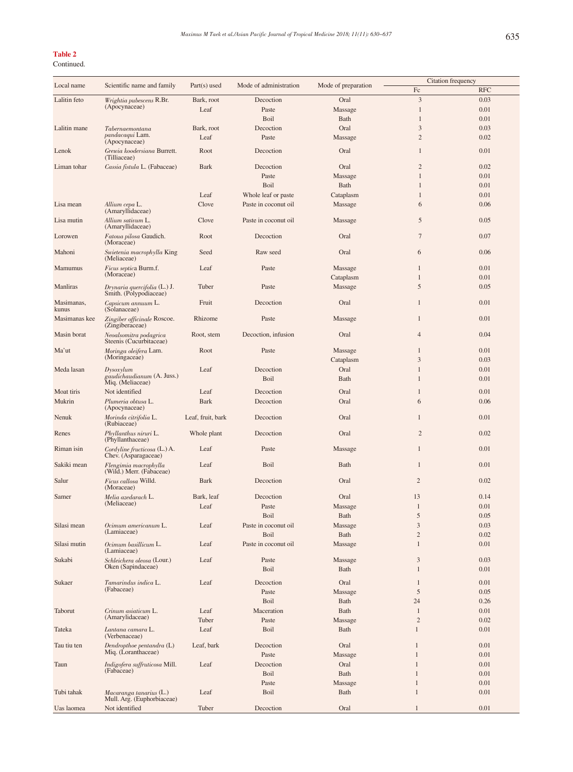## Table 2

## Continued.

|                     |                                                            |                   |                        |                     | Citation frequency |            |
|---------------------|------------------------------------------------------------|-------------------|------------------------|---------------------|--------------------|------------|
| Local name          | Scientific name and family                                 | $Part(s)$ used    | Mode of administration | Mode of preparation | $\rm{Fc}$          | <b>RFC</b> |
|                     |                                                            |                   |                        |                     |                    |            |
| Lalitin feto        | Wrightia pubescens R.Br.<br>(Apocynaceae)                  | Bark, root        | Decoction              | Oral                | 3                  | 0.03       |
|                     |                                                            | Leaf              | Paste                  | Massage             | $\mathbf{1}$       | 0.01       |
|                     |                                                            |                   | Boil                   | Bath                | $\mathbf{1}$       | 0.01       |
| Lalitin mane        | Tabernaemontana                                            | Bark, root        | Decoction              | Oral                | 3                  | 0.03       |
|                     | pandacaqui Lam.                                            |                   |                        |                     |                    |            |
|                     | (Apocynaceae)                                              | Leaf              | Paste                  | Massage             | $\overline{c}$     | 0.02       |
| Lenok               | Grewia koodersiana Burrett.<br>(Tilliaceae)                | Root              | Decoction              | Oral                | $\mathbf{1}$       | 0.01       |
| Liman tohar         | Cassia fistula L. (Fabaceae)                               | Bark              | Decoction              | Oral                | $\overline{2}$     | 0.02       |
|                     |                                                            |                   | Paste                  | Massage             | $\mathbf{1}$       | 0.01       |
|                     |                                                            |                   | Boil                   | <b>Bath</b>         | $\mathbf{1}$       | 0.01       |
|                     |                                                            |                   |                        |                     |                    |            |
|                     |                                                            | Leaf              | Whole leaf or paste    | Cataplasm           | $\mathbf{1}$       | 0.01       |
| Lisa mean           | Allium cepa L.<br>(Amaryllidaceae)                         | Clove             | Paste in coconut oil   | Massage             | 6                  | 0.06       |
| Lisa mutin          | Allium sativum L.<br>(Amaryllidaceae)                      | Clove             | Paste in coconut oil   | Massage             | 5                  | 0.05       |
| Lorowen             | Fatoua pilosa Gaudich.<br>(Moraceae)                       | Root              | Decoction              | Oral                | $\overline{7}$     | 0.07       |
| Mahoni              | Swietenia macrophylla King<br>(Meliaceae)                  | Seed              | Raw seed               | Oral                | 6                  | 0.06       |
| <b>Mamumus</b>      | <i>Ficus septica</i> Burm.f.                               | Leaf              | Paste                  | Massage             | $\mathbf{1}$       | 0.01       |
|                     | (Moraceae)                                                 |                   |                        |                     |                    |            |
|                     |                                                            |                   |                        | Cataplasm           | $\mathbf{1}$       | 0.01       |
| Manliras            | Drynaria quercifolia (L.) J.<br>Smith. (Polypodiaceae)     | Tuber             | Paste                  | Massage             | 5                  | 0.05       |
| Masimanas,<br>kunus | Capsicum annuum L.<br>(Solanaceae)                         | Fruit             | Decoction              | Oral                | $\mathbf{1}$       | 0.01       |
| Masimanas kee       | Zingiber officinale Roscoe.<br>(Zingiberaceae)             | Rhizome           | Paste                  | Massage             | $\mathbf{1}$       | 0.01       |
| Masin borat         | Neoalsomitra podagrica                                     | Root, stem        | Decoction, infusion    | Oral                | $\overline{4}$     | 0.04       |
|                     | Steenis (Cucurbitaceae)                                    |                   |                        |                     |                    |            |
| Ma'ut               | Moringa oleifera Lam.<br>(Moringaceae)                     | Root              | Paste                  | Massage             | $\mathbf{1}$       | 0.01       |
|                     |                                                            |                   |                        | Cataplasm           | 3                  | 0.03       |
| Meda lasan          | Dysoxylum                                                  | Leaf              | Decoction              | Oral                | 1                  | 0.01       |
|                     | gaudichaudianum (A. Juss.)                                 |                   | Boil                   | Bath                | $\mathbf{1}$       | 0.01       |
|                     | Miq. (Meliaceae)                                           |                   |                        |                     |                    |            |
| Moat tiris          | Not identified                                             | Leaf              | Decoction              | Oral                | $\mathbf{1}$       | 0.01       |
| Mukrin              | Plumeria obtusa L.<br>(Apocynaceae)                        | Bark              | Decoction              | Oral                | 6                  | 0.06       |
| Nenuk               | Morinda citrifolia L.                                      | Leaf, fruit, bark | Decoction              | Oral                | $\mathbf{1}$       | 0.01       |
| Renes               | (Rubiaceae)<br>Phyllanthus niruri L.                       | Whole plant       | Decoction              | Oral                | $\overline{2}$     | 0.02       |
| Riman isin          | (Phyllanthaceae)<br>$Cord$ <i>vine fructicosa</i> $(L)$ A. | Leaf              | Paste                  | Massage             | $\mathbf{1}$       | 0.01       |
| Sakiki mean         | Chev. (Asparagaceae)<br>Flengimia macrophylla              | Leaf              | Boil                   | Bath                | $\mathbf{1}$       | 0.01       |
|                     | (Wild.) Merr. (Fabaceae)                                   |                   |                        |                     |                    |            |
| Salur               | Ficus callosa Willd.<br>(Moraceae)                         | <b>Bark</b>       | Decoction              | Oral                | $\overline{2}$     | 0.02       |
| Samer               | Melia azedarach L.                                         | Bark, leaf        | Decoction              | Oral                | 13                 | 0.14       |
|                     | (Meliaceae)                                                | Leaf              | Paste                  | Massage             | $\mathbf{1}$       | 0.01       |
|                     |                                                            |                   | Boil                   | Bath                | 5                  | 0.05       |
|                     |                                                            |                   |                        |                     |                    |            |
| Silasi mean         | Ocimum americanum L.<br>(Lamiaceae)                        | Leaf              | Paste in coconut oil   | Massage             | 3                  | 0.03       |
|                     |                                                            |                   | Boil                   | Bath                | $\sqrt{2}$         | 0.02       |
| Silasi mutin        | Ocimum basillicum L.<br>(Lamiaceae)                        | Leaf              | Paste in coconut oil   | Massage             | $\mathbf{1}$       | 0.01       |
| Sukabi              | Schleichera oleosa (Lour.)                                 | Leaf              | Paste                  | Massage             | 3                  | 0.03       |
|                     | Oken (Sapindaceae)                                         |                   | Boil                   | Bath                | 1                  | 0.01       |
|                     |                                                            |                   |                        |                     |                    |            |
| Sukaer              | Tamarindus indica L.                                       | Leaf              | Decoction              | Oral                | $\mathbf{1}$       | 0.01       |
|                     | (Fabaceae)                                                 |                   | Paste                  | Massage             | 5                  | 0.05       |
|                     |                                                            |                   | Boil                   | Bath                | 24                 | 0.26       |
| Taborut             | Crinum asiaticum L.                                        | Leaf              | Maceration             | Bath                | $\mathbf{1}$       | 0.01       |
|                     | (Amarylidaceae)                                            |                   |                        |                     |                    |            |
|                     |                                                            | Tuber             | Paste                  | Massage             | $\overline{2}$     | 0.02       |
| Tateka              | Lantana camara L.<br>(Verbenaceae)                         | Leaf              | Boil                   | Bath                | 1                  | 0.01       |
| Tau tiu ten         | Dendropthoe pentandra (L)                                  | Leaf, bark        | Decoction              | Oral                | $\mathbf{1}$       | 0.01       |
|                     | Miq. (Loranthaceae)                                        |                   | Paste                  | Massage             | $\mathbf{1}$       | 0.01       |
| Taun                | Indigofera suffruticosa Mill.                              | Leaf              | Decoction              | Oral                | 1                  | 0.01       |
|                     | (Fabaceae)                                                 |                   | Boil                   | Bath                | 1                  | 0.01       |
|                     |                                                            |                   |                        |                     |                    |            |
|                     |                                                            |                   | Paste                  | Massage             | $\mathbf{1}$       | 0.01       |
| Tubi tahak          | Macaranga tanarius (L.)                                    | Leaf              | Boil                   | Bath                | $\mathbf{1}$       | 0.01       |
|                     | Mull. Arg. (Euphorbiaceae)                                 |                   |                        |                     |                    |            |
| Uas laomea          | Not identified                                             | Tuber             | Decoction              | Oral                | $\mathbf{1}$       | 0.01       |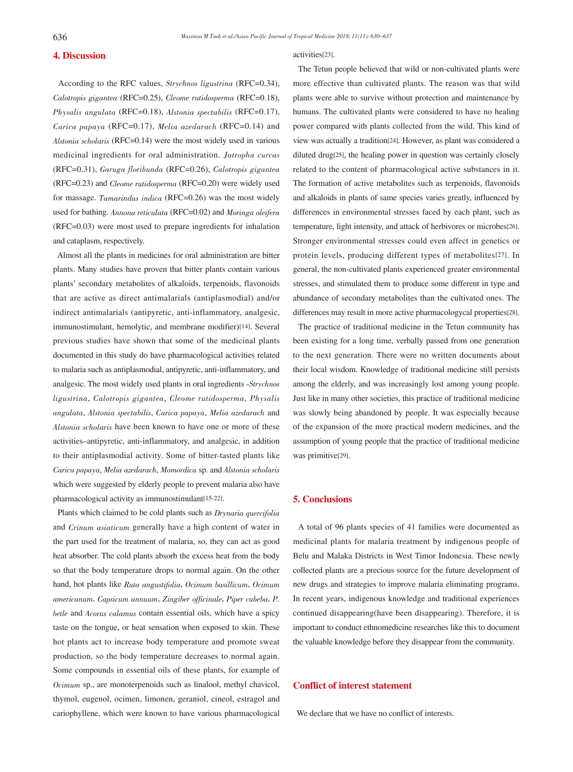## 4. Discussion

 According to the RFC values, Strychnos ligustrina (RFC=0.34), Calotropis gigantea (RFC=0.25), Cleome rutidosperma (RFC=0.18), Physalis angulata (RFC=0.18), Alstonia spectabilis (RFC=0.17), Carica papaya (RFC=0.17), Melia azedarach (RFC=0.14) and Alstonia scholaris (RFC=0.14) were the most widely used in various medicinal ingredients for oral administration. Jatropha curcas (RFC=0.31), Garuga floribunda (RFC=0.26), Calotropis gigantea (RFC=0.23) and Cleome rutidosperma (RFC=0.20) were widely used for massage. Tamarindus indica (RFC=0.26) was the most widely used for bathing. Annona reticulata (RFC=0.02) and Moringa oleifera (RFC=0.03) were most used to prepare ingredients for inhalation and cataplasm, respectively.

 Almost all the plants in medicines for oral administration are bitter plants. Many studies have proven that bitter plants contain various plants' secondary metabolites of alkaloids, terpenoids, flavonoids that are active as direct antimalarials (antiplasmodial) and/or indirect antimalarials (antipyretic, anti-inflammatory, analgesic, immunostimulant, hemolytic, and membrane modifier)[14]. Several previous studies have shown that some of the medicinal plants documented in this study do have pharmacological activities related to malaria such as antiplasmodial, antipyretic, anti-inflammatory, and analgesic. The most widely used plants in oral ingredients -Strychnos ligustrina, Calotropis gigantea, Cleome rutidosperma, Physalis angulata, Alstonia spectabilis, Carica papaya, Melia azedarach and Alstonia scholaris have been known to have one or more of these activities–antipyretic, anti-inflammatory, and analgesic, in addition to their antiplasmodial activity. Some of bitter-tasted plants like Carica papaya, Melia azedarach, Momordica sp. and Alstonia scholaris which were suggested by elderly people to prevent malaria also have pharmacological activity as immunostimulant[15-22].

Plants which claimed to be cold plants such as Drynaria quercifolia and Crinum asiaticum generally have a high content of water in the part used for the treatment of malaria, so, they can act as good heat absorber. The cold plants absorb the excess heat from the body so that the body temperature drops to normal again. On the other hand, hot plants like Ruta angustifolia, Ocimum basillicum, Ocimum americanum, Capsicum annuum, Zingiber officinale, Piper cubeba, P. betle and Acorus calamus contain essential oils, which have a spicy taste on the tongue, or heat sensation when exposed to skin. These hot plants act to increase body temperature and promote sweat production, so the body temperature decreases to normal again. Some compounds in essential oils of these plants, for example of Ocimum sp., are monoterpenoids such as linalool, methyl chavicol, thymol, eugenol, ocimen, limonen, geraniol, cineol, estragol and cariophyllene, which were known to have various pharmacological activities[23].

 The Tetun people believed that wild or non-cultivated plants were more effective than cultivated plants. The reason was that wild plants were able to survive without protection and maintenance by humans. The cultivated plants were considered to have no healing power compared with plants collected from the wild. This kind of view was actually a tradition[24]. However, as plant was considered a diluted drug[25], the healing power in question was certainly closely related to the content of pharmacological active substances in it. The formation of active metabolites such as terpenoids, flavonoids and alkaloids in plants of same species varies greatly, influenced by differences in environmental stresses faced by each plant, such as temperature, light intensity, and attack of herbivores or microbes[26]. Stronger environmental stresses could even affect in genetics or protein levels, producing different types of metabolites[27]. In general, the non-cultivated plants experienced greater environmental stresses, and stimulated them to produce some different in type and abundance of secondary metabolites than the cultivated ones. The differences may result in more active pharmacologycal properties[28].

 The practice of traditional medicine in the Tetun community has been existing for a long time, verbally passed from one generation to the next generation. There were no written documents about their local wisdom. Knowledge of traditional medicine still persists among the elderly, and was increasingly lost among young people. Just like in many other societies, this practice of traditional medicine was slowly being abandoned by people. It was especially because of the expansion of the more practical modern medicines, and the assumption of young people that the practice of traditional medicine was primitive[29].

# 5. Conclusions

 A total of 96 plants species of 41 families were documented as medicinal plants for malaria treatment by indigenous people of Belu and Malaka Districts in West Timor Indonesia. These newly collected plants are a precious source for the future development of new drugs and strategies to improve malaria eliminating programs. In recent years, indigenous knowledge and traditional experiences continued disappearing(have been disappearing). Therefore, it is important to conduct ethnomedicine researches like this to document the valuable knowledge before they disappear from the community.

# Conflict of interest statement

We declare that we have no conflict of interests.